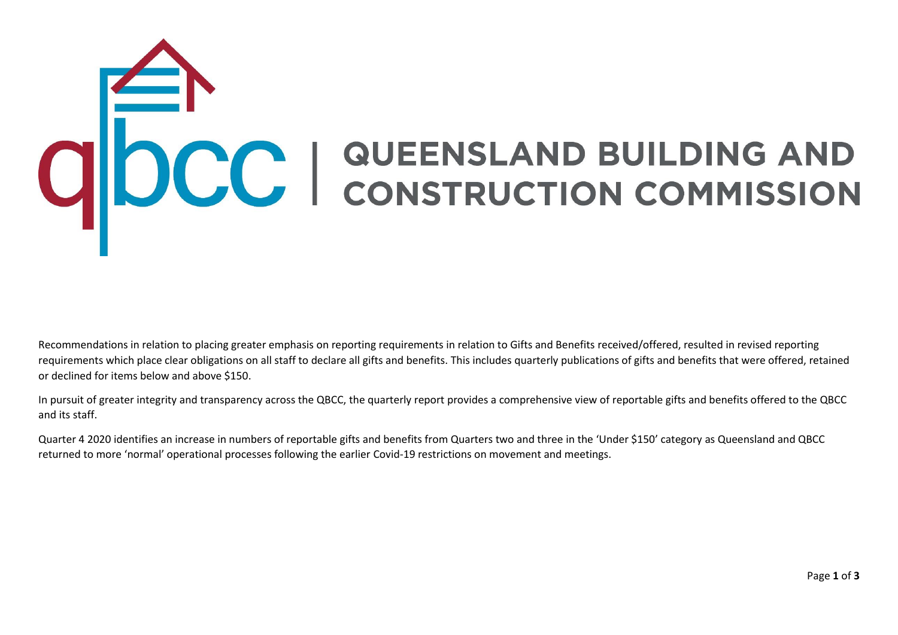## ODCC | QUEENSLAND BUILDING AND

Recommendations in relation to placing greater emphasis on reporting requirements in relation to Gifts and Benefits received/offered, resulted in revised reporting requirements which place clear obligations on all staff to declare all gifts and benefits. This includes quarterly publications of gifts and benefits that were offered, retained or declined for items below and above \$150.

In pursuit of greater integrity and transparency across the QBCC, the quarterly report provides a comprehensive view of reportable gifts and benefits offered to the QBCC and its staff.

Quarter 4 2020 identifies an increase in numbers of reportable gifts and benefits from Quarters two and three in the 'Under \$150' category as Queensland and QBCC returned to more 'normal' operational processes following the earlier Covid-19 restrictions on movement and meetings.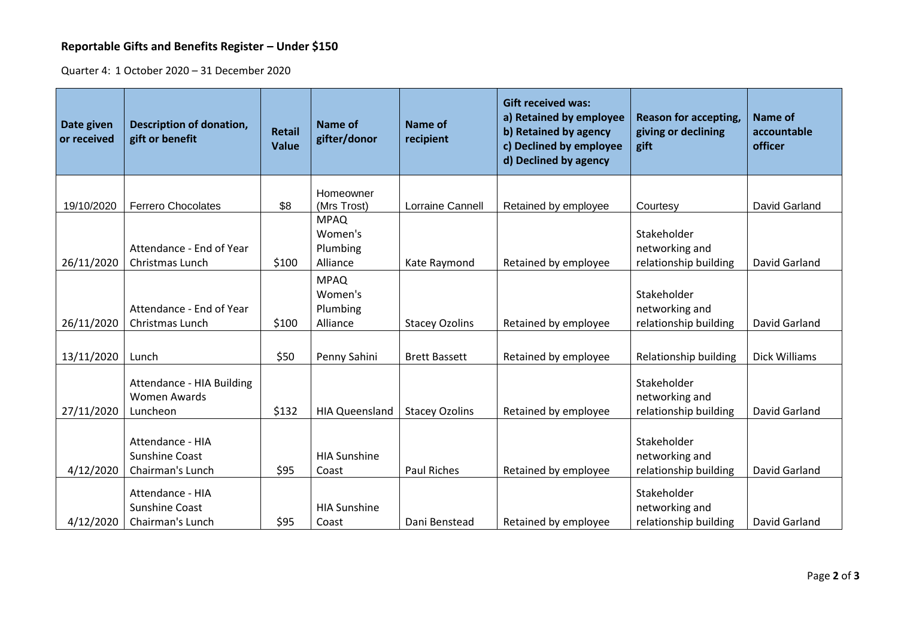## **Reportable Gifts and Benefits Register – Under \$150**

Quarter 4: 1 October 2020 – 31 December 2020

| Date given<br>or received | <b>Description of donation,</b><br>gift or benefit            | <b>Retail</b><br><b>Value</b> | Name of<br>gifter/donor                        | Name of<br>recipient  | <b>Gift received was:</b><br>a) Retained by employee<br>b) Retained by agency<br>c) Declined by employee<br>d) Declined by agency | <b>Reason for accepting,</b><br>giving or declining<br>gift | <b>Name of</b><br>accountable<br>officer |
|---------------------------|---------------------------------------------------------------|-------------------------------|------------------------------------------------|-----------------------|-----------------------------------------------------------------------------------------------------------------------------------|-------------------------------------------------------------|------------------------------------------|
|                           |                                                               |                               | Homeowner                                      |                       |                                                                                                                                   |                                                             |                                          |
| 19/10/2020                | <b>Ferrero Chocolates</b>                                     | \$8                           | (Mrs Trost)                                    | Lorraine Cannell      | Retained by employee                                                                                                              | Courtesy                                                    | David Garland                            |
| 26/11/2020                | Attendance - End of Year<br>Christmas Lunch                   | \$100                         | <b>MPAQ</b><br>Women's<br>Plumbing<br>Alliance | Kate Raymond          | Retained by employee                                                                                                              | Stakeholder<br>networking and<br>relationship building      | David Garland                            |
| 26/11/2020                | Attendance - End of Year<br>Christmas Lunch                   | \$100                         | <b>MPAQ</b><br>Women's<br>Plumbing<br>Alliance | <b>Stacey Ozolins</b> | Retained by employee                                                                                                              | Stakeholder<br>networking and<br>relationship building      | David Garland                            |
| 13/11/2020                | Lunch                                                         | \$50                          | Penny Sahini                                   | <b>Brett Bassett</b>  | Retained by employee                                                                                                              | Relationship building                                       | Dick Williams                            |
| 27/11/2020                | Attendance - HIA Building<br><b>Women Awards</b><br>Luncheon  | \$132                         | <b>HIA Queensland</b>                          | <b>Stacey Ozolins</b> | Retained by employee                                                                                                              | Stakeholder<br>networking and<br>relationship building      | David Garland                            |
| 4/12/2020                 | Attendance - HIA<br><b>Sunshine Coast</b><br>Chairman's Lunch | \$95                          | <b>HIA Sunshine</b><br>Coast                   | Paul Riches           | Retained by employee                                                                                                              | Stakeholder<br>networking and<br>relationship building      | David Garland                            |
| 4/12/2020                 | Attendance - HIA<br><b>Sunshine Coast</b><br>Chairman's Lunch | \$95                          | <b>HIA Sunshine</b><br>Coast                   | Dani Benstead         | Retained by employee                                                                                                              | Stakeholder<br>networking and<br>relationship building      | David Garland                            |